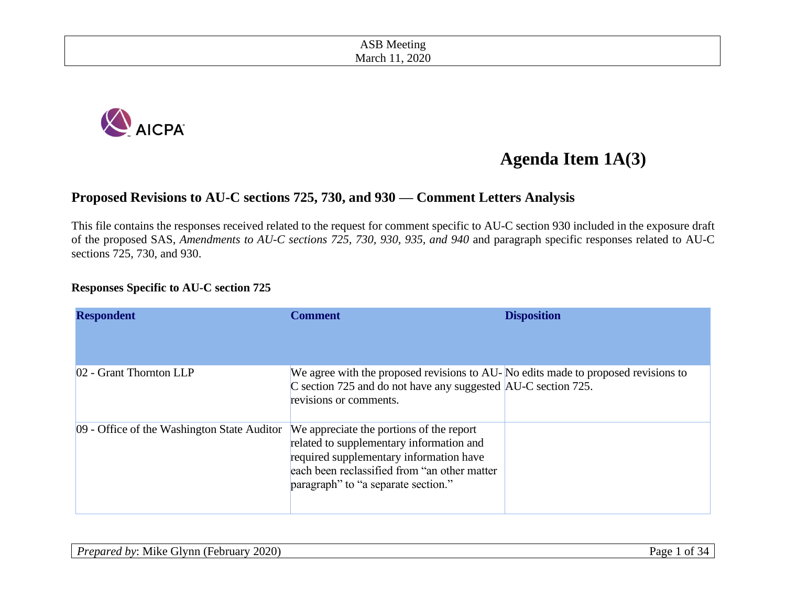| Wh<br>r 1 6<br>ונור<br>$\sim$ $\sim$ $\sim$ $\sim$ $\sim$ $\sim$                                                                         |  |
|------------------------------------------------------------------------------------------------------------------------------------------|--|
| 2020<br>March<br>2020<br>the contract of the contract of the contract of the contract of the contract of the contract of the contract of |  |



# **Agenda Item 1A(3)**

#### **Proposed Revisions to AU-C sections 725, 730, and 930 — Comment Letters Analysis**

This file contains the responses received related to the request for comment specific to AU-C section 930 included in the exposure draft of the proposed SAS, *Amendments to AU-C sections 725, 730, 930, 935, and 940* and paragraph specific responses related to AU-C sections 725, 730, and 930.

#### **Responses Specific to AU-C section 725**

| <b>Respondent</b>                           | Comment                                                                                                                                                                                                                | <b>Disposition</b> |
|---------------------------------------------|------------------------------------------------------------------------------------------------------------------------------------------------------------------------------------------------------------------------|--------------------|
| 02 - Grant Thornton LLP                     | We agree with the proposed revisions to AU-No edits made to proposed revisions to<br>C section 725 and do not have any suggested AU-C section 725.<br>revisions or comments.                                           |                    |
| 09 - Office of the Washington State Auditor | We appreciate the portions of the report<br>related to supplementary information and<br>required supplementary information have<br>each been reclassified from "an other matter<br>paragraph" to "a separate section." |                    |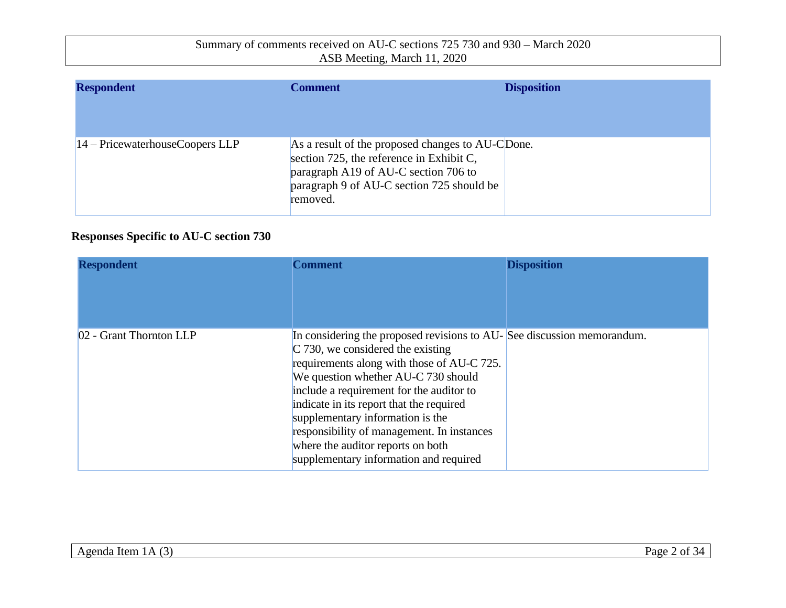| <b>Respondent</b>                 | Comment                                                                                                                                                                                       | <b>Disposition</b> |
|-----------------------------------|-----------------------------------------------------------------------------------------------------------------------------------------------------------------------------------------------|--------------------|
| $14 -$ PricewaterhouseCoopers LLP | As a result of the proposed changes to AU-CDone.<br>section 725, the reference in Exhibit C,<br>paragraph A19 of AU-C section 706 to<br>paragraph 9 of AU-C section 725 should be<br>removed. |                    |

### **Responses Specific to AU-C section 730**

| <b>Respondent</b>       | <b>Comment</b>                                                                                                                                                                                                                                                                                                                                                                                                                                              | <b>Disposition</b> |
|-------------------------|-------------------------------------------------------------------------------------------------------------------------------------------------------------------------------------------------------------------------------------------------------------------------------------------------------------------------------------------------------------------------------------------------------------------------------------------------------------|--------------------|
| 02 - Grant Thornton LLP | In considering the proposed revisions to AU-See discussion memorandum.<br>$C$ 730, we considered the existing<br>requirements along with those of AU-C 725.<br>We question whether AU-C 730 should<br>include a requirement for the auditor to<br>indicate in its report that the required<br>supplementary information is the<br>responsibility of management. In instances<br>where the auditor reports on both<br>supplementary information and required |                    |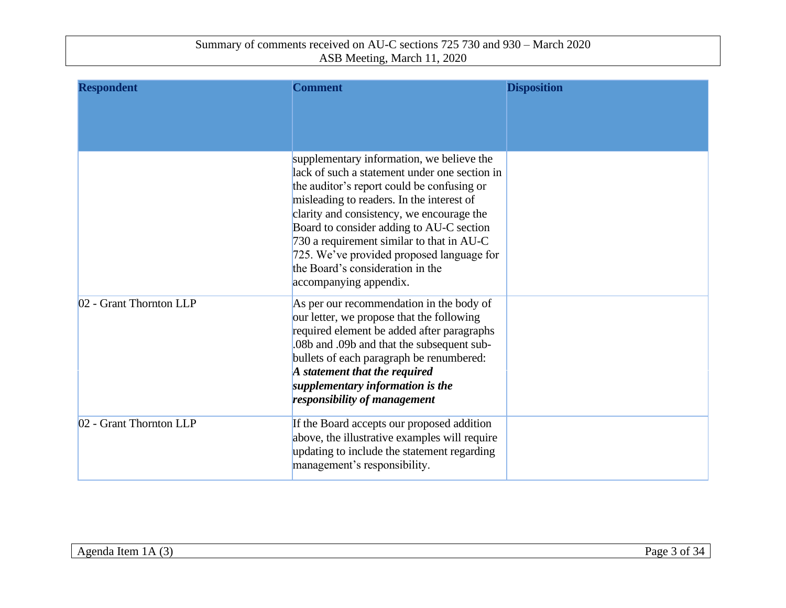| <b>Respondent</b>       | <b>Comment</b>                                                                                                                                                                                                                                                                                                                                                                                                                         | <b>Disposition</b> |
|-------------------------|----------------------------------------------------------------------------------------------------------------------------------------------------------------------------------------------------------------------------------------------------------------------------------------------------------------------------------------------------------------------------------------------------------------------------------------|--------------------|
|                         | supplementary information, we believe the<br>lack of such a statement under one section in<br>the auditor's report could be confusing or<br>misleading to readers. In the interest of<br>clarity and consistency, we encourage the<br>Board to consider adding to AU-C section<br>730 a requirement similar to that in AU-C<br>725. We've provided proposed language for<br>the Board's consideration in the<br>accompanying appendix. |                    |
| 02 - Grant Thornton LLP | As per our recommendation in the body of<br>our letter, we propose that the following<br>required element be added after paragraphs<br>.08b and .09b and that the subsequent sub-<br>bullets of each paragraph be renumbered:<br>A statement that the required<br>supplementary information is the<br>responsibility of management                                                                                                     |                    |
| 02 - Grant Thornton LLP | If the Board accepts our proposed addition<br>above, the illustrative examples will require<br>updating to include the statement regarding<br>management's responsibility.                                                                                                                                                                                                                                                             |                    |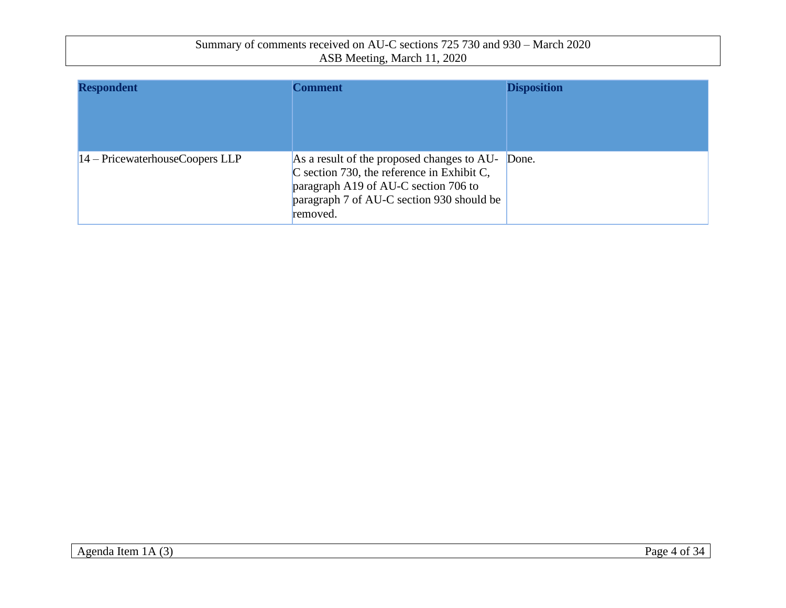| Summary of comments received on AU-C sections 725 730 and 930 – March 2020 |  |
|----------------------------------------------------------------------------|--|
| ASB Meeting, March 11, 2020                                                |  |

| <b>Respondent</b>                 | <b>Comment</b>                                                                                                                                                                              | <b>Disposition</b> |
|-----------------------------------|---------------------------------------------------------------------------------------------------------------------------------------------------------------------------------------------|--------------------|
| $14 -$ PricewaterhouseCoopers LLP | As a result of the proposed changes to AU-<br>$C$ section 730, the reference in Exhibit C,<br>paragraph A19 of AU-C section 706 to<br>paragraph 7 of AU-C section 930 should be<br>removed. | Done.              |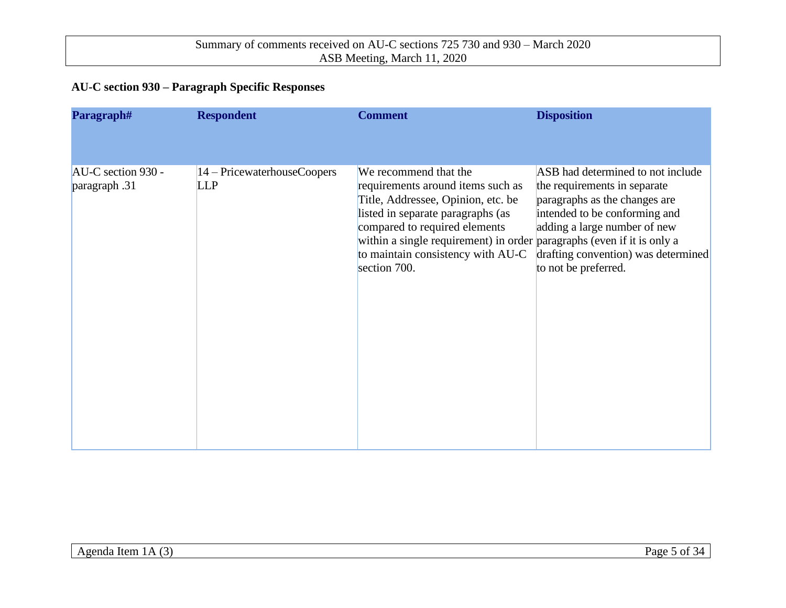### **AU-C section 930 – Paragraph Specific Responses**

| Paragraph#                          | <b>Respondent</b>                         | <b>Comment</b>                                                                                                                                                                                                                                                       | <b>Disposition</b>                                                                                                                                                                                                                                                     |
|-------------------------------------|-------------------------------------------|----------------------------------------------------------------------------------------------------------------------------------------------------------------------------------------------------------------------------------------------------------------------|------------------------------------------------------------------------------------------------------------------------------------------------------------------------------------------------------------------------------------------------------------------------|
|                                     |                                           |                                                                                                                                                                                                                                                                      |                                                                                                                                                                                                                                                                        |
| AU-C section 930 -<br>paragraph .31 | 14 – PricewaterhouseCoopers<br><b>LLP</b> | We recommend that the<br>requirements around items such as<br>Title, Addressee, Opinion, etc. be<br>listed in separate paragraphs (as<br>compared to required elements<br>within a single requirement) in order<br>to maintain consistency with AU-C<br>section 700. | ASB had determined to not include<br>the requirements in separate<br>paragraphs as the changes are<br>intended to be conforming and<br>adding a large number of new<br>paragraphs (even if it is only a<br>drafting convention) was determined<br>to not be preferred. |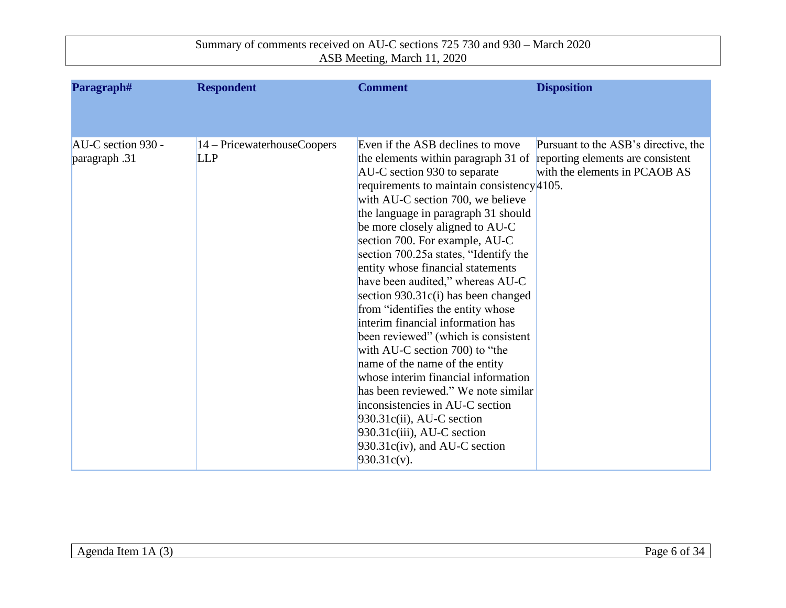| Paragraph#         | <b>Respondent</b>             | <b>Comment</b>                                                                                                                                      | <b>Disposition</b>                   |
|--------------------|-------------------------------|-----------------------------------------------------------------------------------------------------------------------------------------------------|--------------------------------------|
|                    |                               |                                                                                                                                                     |                                      |
| AU-C section 930 - | $14 -$ PricewaterhouseCoopers | Even if the ASB declines to move                                                                                                                    | Pursuant to the ASB's directive, the |
| paragraph .31      | <b>LLP</b>                    | the elements within paragraph 31 of reporting elements are consistent<br>AU-C section 930 to separate<br>requirements to maintain consistency 4105. | with the elements in PCAOB AS        |
|                    |                               | with AU-C section 700, we believe<br>the language in paragraph 31 should                                                                            |                                      |
|                    |                               | be more closely aligned to AU-C<br>section 700. For example, AU-C<br>section 700.25a states, "Identify the                                          |                                      |
|                    |                               | entity whose financial statements<br>have been audited," whereas AU-C                                                                               |                                      |
|                    |                               | section $930.31c(i)$ has been changed<br>from "identifies the entity whose                                                                          |                                      |
|                    |                               | interim financial information has<br>been reviewed" (which is consistent                                                                            |                                      |
|                    |                               | with AU-C section 700) to "the<br>name of the name of the entity<br>whose interim financial information                                             |                                      |
|                    |                               | has been reviewed." We note similar<br>inconsistencies in AU-C section                                                                              |                                      |
|                    |                               | $930.31c(ii)$ , AU-C section<br>$930.31c(iii)$ , AU-C section                                                                                       |                                      |
|                    |                               | $930.31c(iv)$ , and AU-C section<br>$930.31c(v)$ .                                                                                                  |                                      |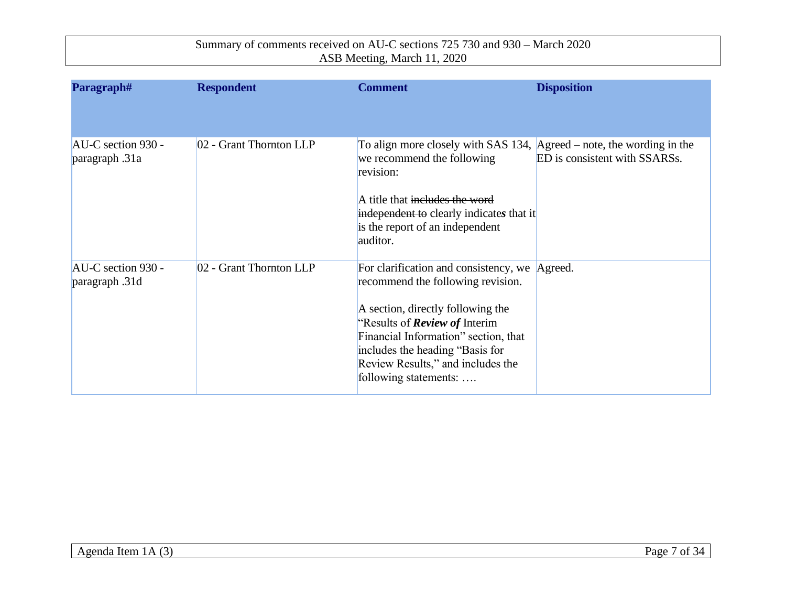| Paragraph#                           | <b>Respondent</b>       | <b>Comment</b>                                                                                                                                                                                                                                                                                           | <b>Disposition</b>            |
|--------------------------------------|-------------------------|----------------------------------------------------------------------------------------------------------------------------------------------------------------------------------------------------------------------------------------------------------------------------------------------------------|-------------------------------|
|                                      |                         |                                                                                                                                                                                                                                                                                                          |                               |
| AU-C section 930 -<br>paragraph .31a | 02 - Grant Thornton LLP | To align more closely with SAS 134, $ Agreed - note$ , the wording in the<br>we recommend the following<br>revision:<br>A title that includes the word<br>independent to clearly indicates that it<br>is the report of an independent<br>auditor.                                                        | ED is consistent with SSARSs. |
| AU-C section 930 -<br>paragraph .31d | 02 - Grant Thornton LLP | For clarification and consistency, we Agreed.<br>recommend the following revision.<br>A section, directly following the<br>"Results of <b>Review of</b> Interim<br>Financial Information" section, that<br>includes the heading "Basis for<br>Review Results," and includes the<br>following statements: |                               |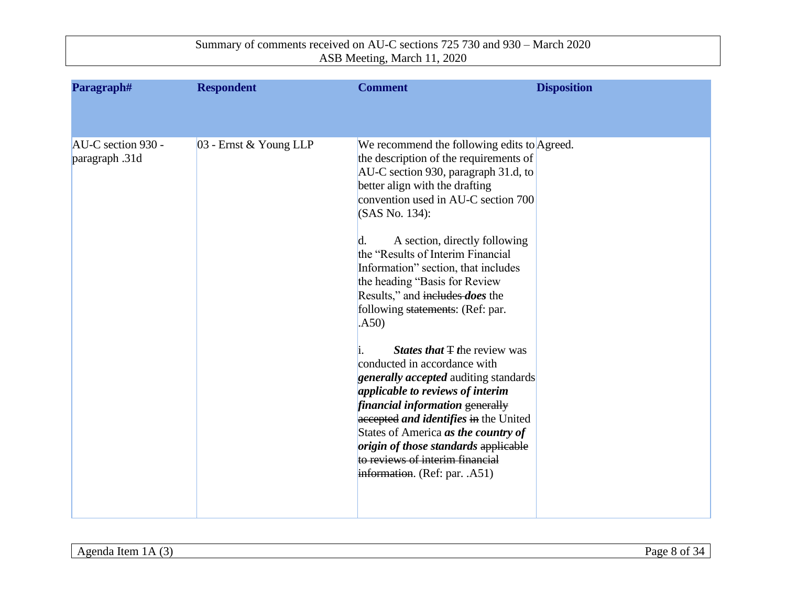| Paragraph#<br><b>Respondent</b>                                | <b>Comment</b>                                                                                                                                                                                                                                                                                                                                                                                                                                                                                                                                                                                                                                                                                                                                                                                 | <b>Disposition</b>                                                           |  |
|----------------------------------------------------------------|------------------------------------------------------------------------------------------------------------------------------------------------------------------------------------------------------------------------------------------------------------------------------------------------------------------------------------------------------------------------------------------------------------------------------------------------------------------------------------------------------------------------------------------------------------------------------------------------------------------------------------------------------------------------------------------------------------------------------------------------------------------------------------------------|------------------------------------------------------------------------------|--|
|                                                                |                                                                                                                                                                                                                                                                                                                                                                                                                                                                                                                                                                                                                                                                                                                                                                                                |                                                                              |  |
| 03 - Ernst & Young LLP<br>AU-C section 930 -<br>paragraph .31d | the description of the requirements of<br>AU-C section 930, paragraph 31.d, to<br>better align with the drafting<br>convention used in AU-C section 700<br>(SAS No. 134):<br>$\mathbf{d}$ .<br>the "Results of Interim Financial"<br>Information" section, that includes<br>the heading "Basis for Review<br>Results," and includes <i>does</i> the<br>following statements: (Ref: par.<br>(A50)<br><i>States that</i> $\pm$ the review was<br>conducted in accordance with<br><b>generally accepted</b> auditing standards<br>applicable to reviews of interim<br>financial information generally<br>accepted and identifies in the United<br>States of America as the country of<br>origin of those standards applicable<br>to reviews of interim financial<br>information. (Ref: par. .A51) | We recommend the following edits to Agreed.<br>A section, directly following |  |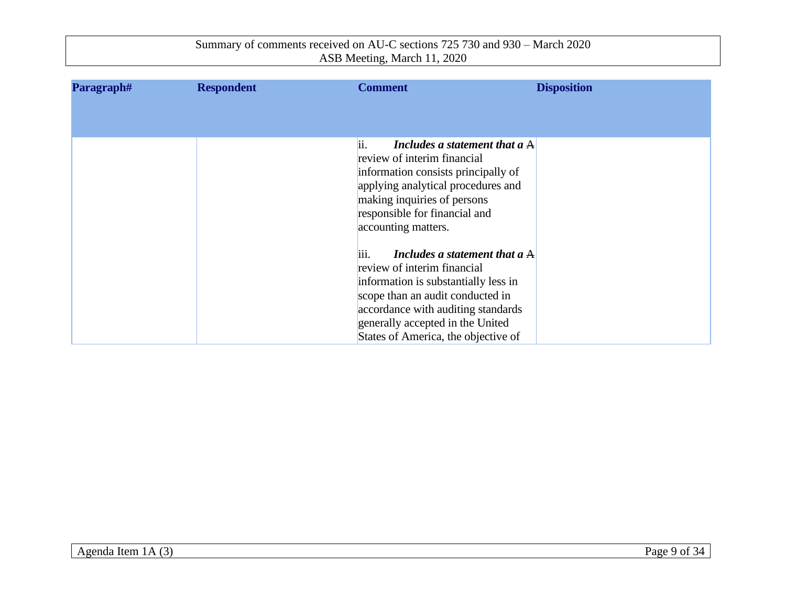| Paragraph# | <b>Respondent</b> | <b>Comment</b>                                                                                                                                                                                                                                                      | <b>Disposition</b> |
|------------|-------------------|---------------------------------------------------------------------------------------------------------------------------------------------------------------------------------------------------------------------------------------------------------------------|--------------------|
|            |                   |                                                                                                                                                                                                                                                                     |                    |
|            |                   |                                                                                                                                                                                                                                                                     |                    |
|            |                   | ii.<br>Includes a statement that a $A$<br>review of interim financial<br>information consists principally of<br>applying analytical procedures and<br>making inquiries of persons<br>responsible for financial and<br>accounting matters.                           |                    |
|            |                   | iii.<br>Includes a statement that a $A$<br>review of interim financial<br>information is substantially less in<br>scope than an audit conducted in<br>accordance with auditing standards<br>generally accepted in the United<br>States of America, the objective of |                    |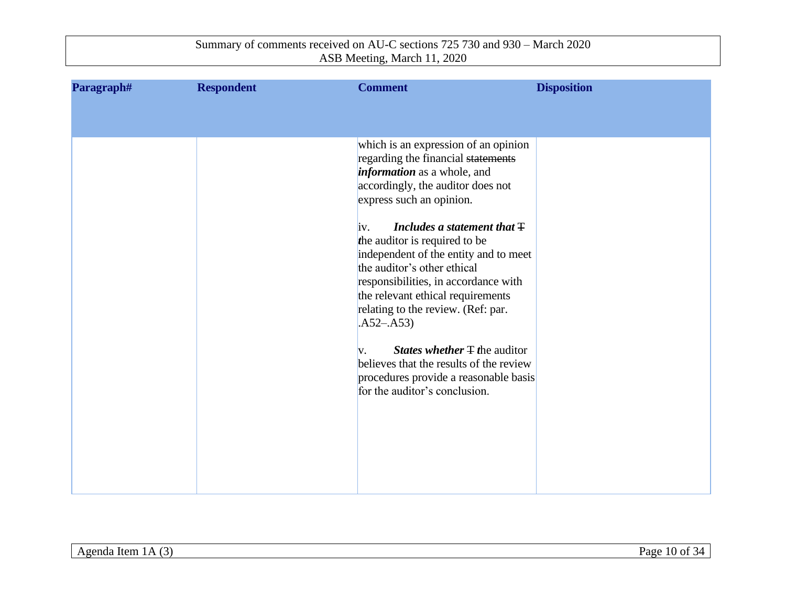| Paragraph# | <b>Respondent</b> | <b>Comment</b>                                                                   | <b>Disposition</b> |
|------------|-------------------|----------------------------------------------------------------------------------|--------------------|
|            |                   |                                                                                  |                    |
|            |                   |                                                                                  |                    |
|            |                   | which is an expression of an opinion<br>regarding the financial statements       |                    |
|            |                   | <i>information</i> as a whole, and                                               |                    |
|            |                   | accordingly, the auditor does not                                                |                    |
|            |                   | express such an opinion.                                                         |                    |
|            |                   | Includes a statement that $\pm$<br>iv.                                           |                    |
|            |                   | the auditor is required to be                                                    |                    |
|            |                   | independent of the entity and to meet<br>the auditor's other ethical             |                    |
|            |                   | responsibilities, in accordance with                                             |                    |
|            |                   | the relevant ethical requirements                                                |                    |
|            |                   | relating to the review. (Ref: par.<br>$.A52-.A53)$                               |                    |
|            |                   |                                                                                  |                    |
|            |                   | <i>States whether</i> $\pm$ <i>the auditor</i><br>V.                             |                    |
|            |                   | believes that the results of the review<br>procedures provide a reasonable basis |                    |
|            |                   | for the auditor's conclusion.                                                    |                    |
|            |                   |                                                                                  |                    |
|            |                   |                                                                                  |                    |
|            |                   |                                                                                  |                    |
|            |                   |                                                                                  |                    |
|            |                   |                                                                                  |                    |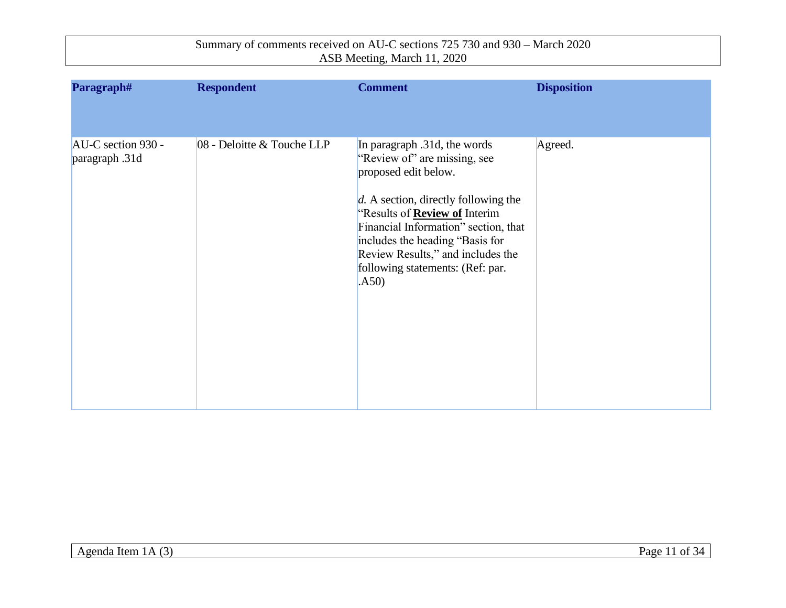| Paragraph#                           | <b>Respondent</b>          | <b>Comment</b>                                                                                                                                                                                                                                                                                                                      | <b>Disposition</b> |
|--------------------------------------|----------------------------|-------------------------------------------------------------------------------------------------------------------------------------------------------------------------------------------------------------------------------------------------------------------------------------------------------------------------------------|--------------------|
| AU-C section 930 -<br>paragraph .31d | 08 - Deloitte & Touche LLP | In paragraph .31d, the words<br>"Review of" are missing, see<br>proposed edit below.<br>$d.$ A section, directly following the<br>"Results of <b>Review of</b> Interim<br>Financial Information" section, that<br>includes the heading "Basis for<br>Review Results," and includes the<br>following statements: (Ref: par.<br>(A50) | Agreed.            |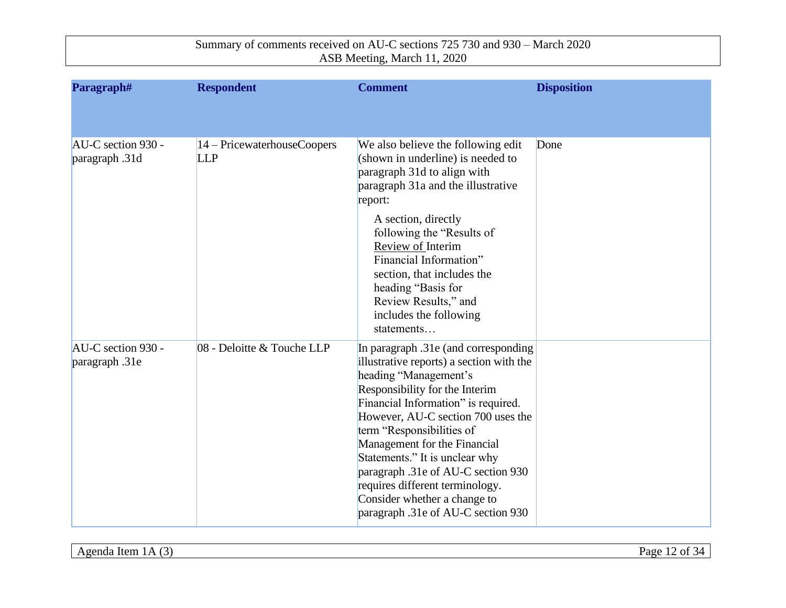| Paragraph#                           | <b>Respondent</b>                         | <b>Comment</b>                                                                                                                                                                                                                                                                                                                                                                                                                                                         | <b>Disposition</b> |
|--------------------------------------|-------------------------------------------|------------------------------------------------------------------------------------------------------------------------------------------------------------------------------------------------------------------------------------------------------------------------------------------------------------------------------------------------------------------------------------------------------------------------------------------------------------------------|--------------------|
|                                      |                                           |                                                                                                                                                                                                                                                                                                                                                                                                                                                                        |                    |
| AU-C section 930 -<br>paragraph .31d | 14 – PricewaterhouseCoopers<br><b>LLP</b> | We also believe the following edit<br>(shown in underline) is needed to<br>paragraph 31d to align with<br>paragraph 31a and the illustrative<br>report:<br>A section, directly<br>following the "Results of<br>Review of Interim<br>Financial Information"<br>section, that includes the<br>heading "Basis for<br>Review Results," and<br>includes the following<br>statements                                                                                         | Done               |
| AU-C section 930 -<br>paragraph .31e | 08 - Deloitte & Touche LLP                | In paragraph .31e (and corresponding<br>illustrative reports) a section with the<br>heading "Management's<br>Responsibility for the Interim<br>Financial Information" is required.<br>However, AU-C section 700 uses the<br>term "Responsibilities of<br>Management for the Financial<br>Statements." It is unclear why<br>paragraph .31e of AU-C section 930<br>requires different terminology.<br>Consider whether a change to<br>paragraph .31e of AU-C section 930 |                    |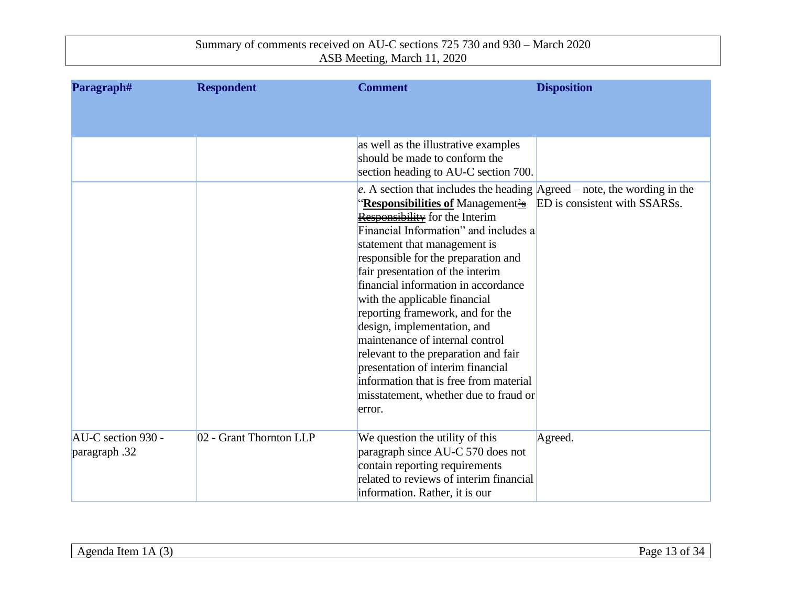| Paragraph#         | <b>Respondent</b>       | <b>Comment</b>                                                                     | <b>Disposition</b> |
|--------------------|-------------------------|------------------------------------------------------------------------------------|--------------------|
|                    |                         |                                                                                    |                    |
|                    |                         |                                                                                    |                    |
|                    |                         | as well as the illustrative examples                                               |                    |
|                    |                         | should be made to conform the                                                      |                    |
|                    |                         | section heading to AU-C section 700.                                               |                    |
|                    |                         | e. A section that includes the heading $A \text{greed}$ – note, the wording in the |                    |
|                    |                         | "Responsibilities of Management's ED is consistent with SSARSs.                    |                    |
|                    |                         | <b>Responsibility</b> for the Interim<br>Financial Information" and includes a     |                    |
|                    |                         | statement that management is                                                       |                    |
|                    |                         | responsible for the preparation and                                                |                    |
|                    |                         | fair presentation of the interim                                                   |                    |
|                    |                         | financial information in accordance                                                |                    |
|                    |                         | with the applicable financial                                                      |                    |
|                    |                         | reporting framework, and for the                                                   |                    |
|                    |                         | design, implementation, and                                                        |                    |
|                    |                         | maintenance of internal control                                                    |                    |
|                    |                         | relevant to the preparation and fair                                               |                    |
|                    |                         | presentation of interim financial                                                  |                    |
|                    |                         | information that is free from material                                             |                    |
|                    |                         | misstatement, whether due to fraud or<br>error.                                    |                    |
|                    |                         |                                                                                    |                    |
| AU-C section 930 - | 02 - Grant Thornton LLP | We question the utility of this                                                    | Agreed.            |
| paragraph .32      |                         | paragraph since AU-C 570 does not                                                  |                    |
|                    |                         | contain reporting requirements                                                     |                    |
|                    |                         | related to reviews of interim financial                                            |                    |
|                    |                         | information. Rather, it is our                                                     |                    |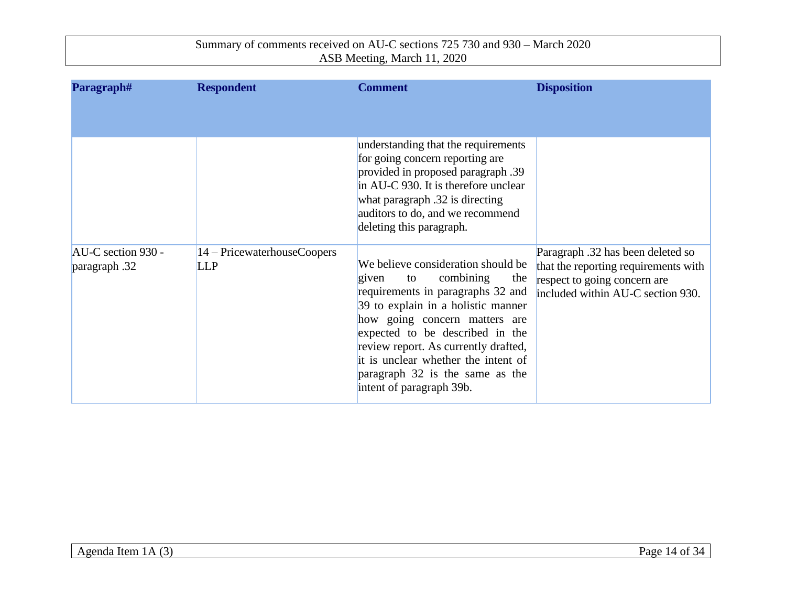| Paragraph#                          | <b>Respondent</b>                         | <b>Comment</b>                                                                                                                                                                                                                                                                                                                                                        | <b>Disposition</b>                                                                                                                             |
|-------------------------------------|-------------------------------------------|-----------------------------------------------------------------------------------------------------------------------------------------------------------------------------------------------------------------------------------------------------------------------------------------------------------------------------------------------------------------------|------------------------------------------------------------------------------------------------------------------------------------------------|
|                                     |                                           | understanding that the requirements<br>for going concern reporting are<br>provided in proposed paragraph .39<br>in AU-C 930. It is therefore unclear<br>what paragraph .32 is directing<br>auditors to do, and we recommend<br>deleting this paragraph.                                                                                                               |                                                                                                                                                |
| AU-C section 930 -<br>paragraph .32 | 14 – PricewaterhouseCoopers<br><b>LLP</b> | We believe consideration should be<br>combining<br>given<br>the<br>to to<br>requirements in paragraphs 32 and<br>39 to explain in a holistic manner<br>how going concern matters are<br>expected to be described in the<br>review report. As currently drafted,<br>it is unclear whether the intent of<br>paragraph 32 is the same as the<br>intent of paragraph 39b. | Paragraph .32 has been deleted so<br>that the reporting requirements with<br>respect to going concern are<br>included within AU-C section 930. |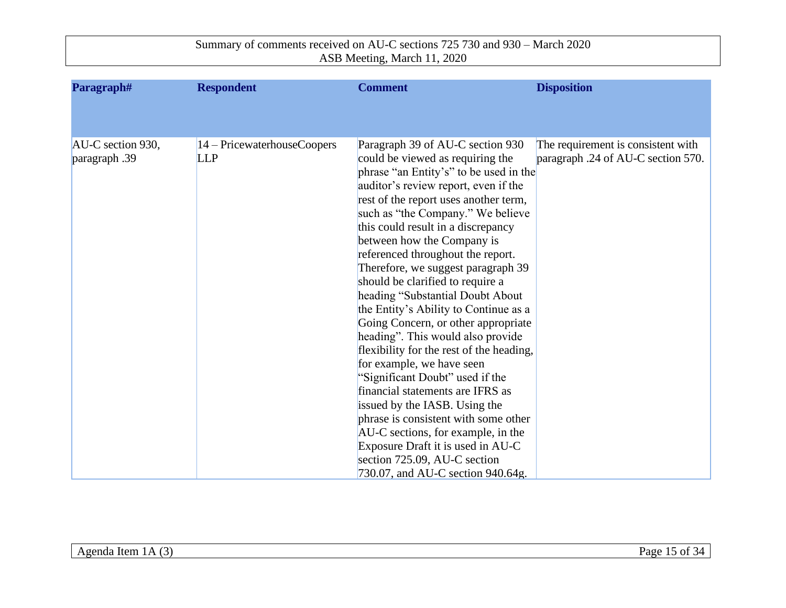| Paragraph#        | <b>Respondent</b>                      | <b>Comment</b>                           | <b>Disposition</b>                 |
|-------------------|----------------------------------------|------------------------------------------|------------------------------------|
|                   |                                        |                                          |                                    |
|                   |                                        |                                          |                                    |
| AU-C section 930, | $ 14 - \text{PricewaterhouseCoopers} $ | Paragraph 39 of AU-C section 930         | The requirement is consistent with |
| paragraph .39     | <b>LLP</b>                             | could be viewed as requiring the         | paragraph .24 of AU-C section 570. |
|                   |                                        | phrase "an Entity's" to be used in the   |                                    |
|                   |                                        | auditor's review report, even if the     |                                    |
|                   |                                        | rest of the report uses another term,    |                                    |
|                   |                                        | such as "the Company." We believe        |                                    |
|                   |                                        | this could result in a discrepancy       |                                    |
|                   |                                        | between how the Company is               |                                    |
|                   |                                        | referenced throughout the report.        |                                    |
|                   |                                        | Therefore, we suggest paragraph 39       |                                    |
|                   |                                        | should be clarified to require a         |                                    |
|                   |                                        | heading "Substantial Doubt About         |                                    |
|                   |                                        | the Entity's Ability to Continue as a    |                                    |
|                   |                                        | Going Concern, or other appropriate      |                                    |
|                   |                                        | heading". This would also provide        |                                    |
|                   |                                        | flexibility for the rest of the heading, |                                    |
|                   |                                        | for example, we have seen                |                                    |
|                   |                                        | "Significant Doubt" used if the          |                                    |
|                   |                                        | financial statements are IFRS as         |                                    |
|                   |                                        | issued by the IASB. Using the            |                                    |
|                   |                                        | phrase is consistent with some other     |                                    |
|                   |                                        | AU-C sections, for example, in the       |                                    |
|                   |                                        | Exposure Draft it is used in AU-C        |                                    |
|                   |                                        | section 725.09, AU-C section             |                                    |
|                   |                                        | 730.07, and AU-C section 940.64g.        |                                    |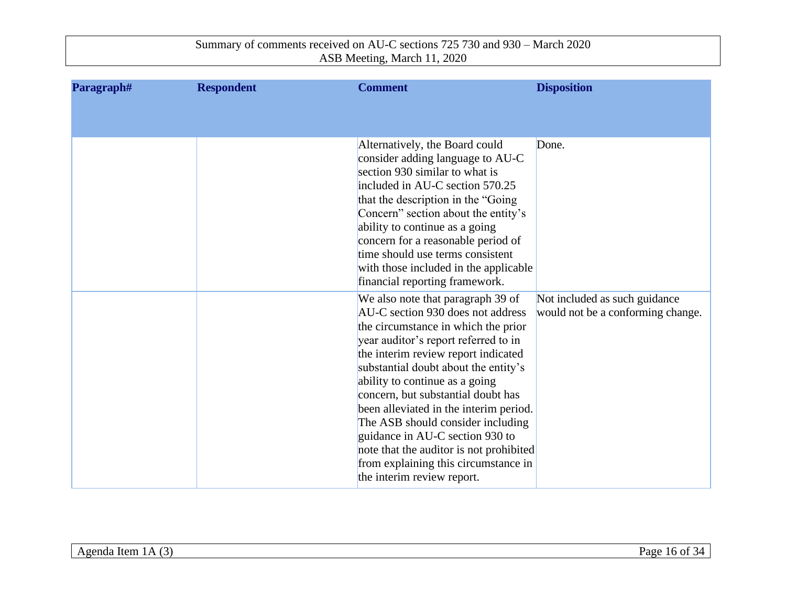| Paragraph# | <b>Respondent</b> | <b>Comment</b>                                                                                                                                                                                                                                                                                                                                                                                                                                                                                                                                  | <b>Disposition</b>                                                 |
|------------|-------------------|-------------------------------------------------------------------------------------------------------------------------------------------------------------------------------------------------------------------------------------------------------------------------------------------------------------------------------------------------------------------------------------------------------------------------------------------------------------------------------------------------------------------------------------------------|--------------------------------------------------------------------|
|            |                   |                                                                                                                                                                                                                                                                                                                                                                                                                                                                                                                                                 |                                                                    |
|            |                   | Alternatively, the Board could<br>consider adding language to AU-C<br>section 930 similar to what is<br>included in AU-C section 570.25<br>that the description in the "Going<br>Concern" section about the entity's<br>ability to continue as a going<br>concern for a reasonable period of<br>time should use terms consistent<br>with those included in the applicable<br>financial reporting framework.                                                                                                                                     | Done.                                                              |
|            |                   | We also note that paragraph 39 of<br>AU-C section 930 does not address<br>the circumstance in which the prior<br>year auditor's report referred to in<br>the interim review report indicated<br>substantial doubt about the entity's<br>ability to continue as a going<br>concern, but substantial doubt has<br>been alleviated in the interim period.<br>The ASB should consider including<br>guidance in AU-C section 930 to<br>note that the auditor is not prohibited<br>from explaining this circumstance in<br>the interim review report. | Not included as such guidance<br>would not be a conforming change. |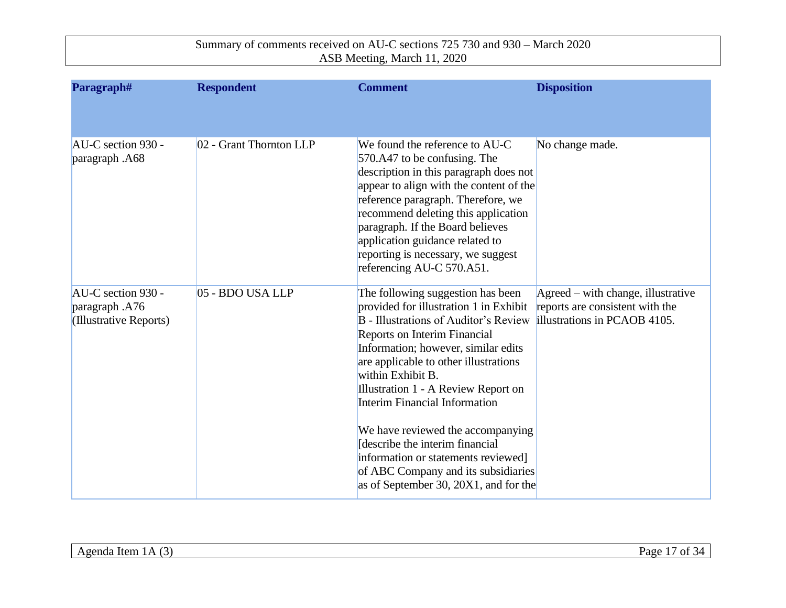| Paragraph#                                                     | <b>Respondent</b>       | <b>Comment</b>                                                                                                                                                                                                                                                                                                                                                                                                                                                                                                                          | <b>Disposition</b>                                                                                              |
|----------------------------------------------------------------|-------------------------|-----------------------------------------------------------------------------------------------------------------------------------------------------------------------------------------------------------------------------------------------------------------------------------------------------------------------------------------------------------------------------------------------------------------------------------------------------------------------------------------------------------------------------------------|-----------------------------------------------------------------------------------------------------------------|
| AU-C section 930 -<br>paragraph .A68                           | 02 - Grant Thornton LLP | We found the reference to AU-C<br>570.A47 to be confusing. The<br>description in this paragraph does not<br>appear to align with the content of the<br>reference paragraph. Therefore, we<br>recommend deleting this application<br>paragraph. If the Board believes<br>application guidance related to<br>reporting is necessary, we suggest<br>referencing AU-C 570.A51.                                                                                                                                                              | No change made.                                                                                                 |
| AU-C section 930 -<br>paragraph .A76<br>(Illustrative Reports) | 05 - BDO USA LLP        | The following suggestion has been<br>provided for illustration 1 in Exhibit<br><b>B</b> - Illustrations of Auditor's Review<br>Reports on Interim Financial<br>Information; however, similar edits<br>are applicable to other illustrations<br>within Exhibit B.<br>Illustration 1 - A Review Report on<br>Interim Financial Information<br>We have reviewed the accompanying<br>Idescribe the interim financial<br>information or statements reviewed]<br>of ABC Company and its subsidiaries<br>as of September 30, 20X1, and for the | $A \text{greed}$ – with change, illustrative<br>reports are consistent with the<br>illustrations in PCAOB 4105. |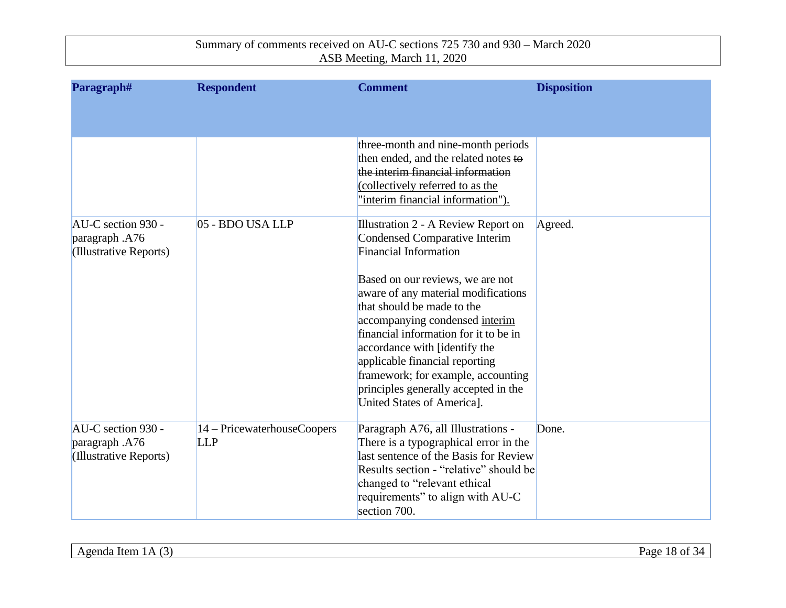| Paragraph#                                                     | <b>Respondent</b>                         | <b>Comment</b>                                                                                                                                                                                                                                                                                                                                                  | <b>Disposition</b> |
|----------------------------------------------------------------|-------------------------------------------|-----------------------------------------------------------------------------------------------------------------------------------------------------------------------------------------------------------------------------------------------------------------------------------------------------------------------------------------------------------------|--------------------|
|                                                                |                                           |                                                                                                                                                                                                                                                                                                                                                                 |                    |
|                                                                |                                           | three-month and nine-month periods<br>then ended, and the related notes to<br>the interim financial information<br>(collectively referred to as the<br>"interim financial information").                                                                                                                                                                        |                    |
| AU-C section 930 -<br>paragraph .A76<br>(Illustrative Reports) | 05 - BDO USA LLP                          | Illustration 2 - A Review Report on<br>Condensed Comparative Interim<br><b>Financial Information</b>                                                                                                                                                                                                                                                            | Agreed.            |
|                                                                |                                           | Based on our reviews, we are not<br>aware of any material modifications<br>that should be made to the<br>accompanying condensed interim<br>financial information for it to be in<br>accordance with [identify the<br>applicable financial reporting<br>framework; for example, accounting<br>principles generally accepted in the<br>United States of Americal. |                    |
| AU-C section 930 -<br>paragraph .A76<br>(Illustrative Reports) | 14 – PricewaterhouseCoopers<br><b>LLP</b> | Paragraph A76, all Illustrations -<br>There is a typographical error in the<br>last sentence of the Basis for Review<br>Results section - "relative" should be<br>changed to "relevant ethical"<br>requirements" to align with AU-C<br>section 700.                                                                                                             | Done.              |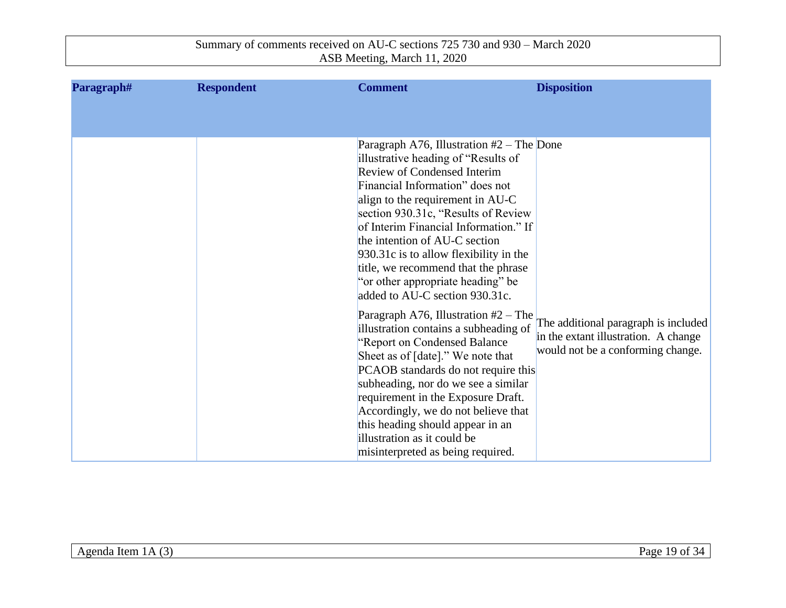| Paragraph# | <b>Respondent</b> | <b>Comment</b>                                                                                                                                                                                                                                                                                                                                                                                                                                                                                                                                                                                                                                                                                                                                                                                                                                                                                       | <b>Disposition</b>                                                                                                |
|------------|-------------------|------------------------------------------------------------------------------------------------------------------------------------------------------------------------------------------------------------------------------------------------------------------------------------------------------------------------------------------------------------------------------------------------------------------------------------------------------------------------------------------------------------------------------------------------------------------------------------------------------------------------------------------------------------------------------------------------------------------------------------------------------------------------------------------------------------------------------------------------------------------------------------------------------|-------------------------------------------------------------------------------------------------------------------|
|            |                   |                                                                                                                                                                                                                                                                                                                                                                                                                                                                                                                                                                                                                                                                                                                                                                                                                                                                                                      |                                                                                                                   |
|            |                   | Paragraph A76, Illustration $#2$ – The Done<br>illustrative heading of "Results of<br><b>Review of Condensed Interim</b><br>Financial Information" does not<br>align to the requirement in AU-C<br>section 930.31c, "Results of Review"<br>of Interim Financial Information." If<br>the intention of AU-C section<br>930.31c is to allow flexibility in the<br>title, we recommend that the phrase<br>"or other appropriate heading" be<br>added to AU-C section 930.31c.<br>Paragraph A76, Illustration $#2$ – The<br>illustration contains a subheading of<br>"Report on Condensed Balance<br>Sheet as of [date]." We note that<br>PCAOB standards do not require this<br>subheading, nor do we see a similar<br>requirement in the Exposure Draft.<br>Accordingly, we do not believe that<br>this heading should appear in an<br>illustration as it could be<br>misinterpreted as being required. | The additional paragraph is included<br>in the extant illustration. A change<br>would not be a conforming change. |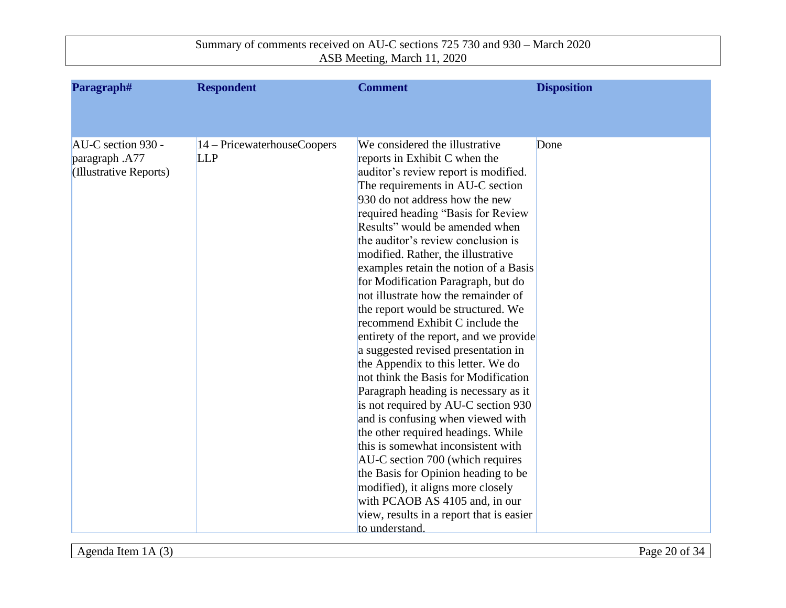| Paragraph#                           | <b>Respondent</b>                            | <b>Comment</b>                                                  | <b>Disposition</b> |
|--------------------------------------|----------------------------------------------|-----------------------------------------------------------------|--------------------|
|                                      |                                              |                                                                 |                    |
|                                      |                                              |                                                                 |                    |
| AU-C section 930 -<br>paragraph .A77 | $ 14 -$ PricewaterhouseCoopers<br><b>LLP</b> | We considered the illustrative<br>reports in Exhibit C when the | Done               |
| (Illustrative Reports)               |                                              | auditor's review report is modified.                            |                    |
|                                      |                                              | The requirements in AU-C section                                |                    |
|                                      |                                              | 930 do not address how the new                                  |                    |
|                                      |                                              | required heading "Basis for Review                              |                    |
|                                      |                                              | Results" would be amended when                                  |                    |
|                                      |                                              | the auditor's review conclusion is                              |                    |
|                                      |                                              | modified. Rather, the illustrative                              |                    |
|                                      |                                              | examples retain the notion of a Basis                           |                    |
|                                      |                                              | for Modification Paragraph, but do                              |                    |
|                                      |                                              | not illustrate how the remainder of                             |                    |
|                                      |                                              | the report would be structured. We                              |                    |
|                                      |                                              | recommend Exhibit C include the                                 |                    |
|                                      |                                              | entirety of the report, and we provide                          |                    |
|                                      |                                              | a suggested revised presentation in                             |                    |
|                                      |                                              | the Appendix to this letter. We do                              |                    |
|                                      |                                              | not think the Basis for Modification                            |                    |
|                                      |                                              | Paragraph heading is necessary as it                            |                    |
|                                      |                                              | is not required by AU-C section 930                             |                    |
|                                      |                                              | and is confusing when viewed with                               |                    |
|                                      |                                              | the other required headings. While                              |                    |
|                                      |                                              | this is somewhat inconsistent with                              |                    |
|                                      |                                              | AU-C section 700 (which requires                                |                    |
|                                      |                                              | the Basis for Opinion heading to be                             |                    |
|                                      |                                              | modified), it aligns more closely                               |                    |
|                                      |                                              | with PCAOB AS 4105 and, in our                                  |                    |
|                                      |                                              | view, results in a report that is easier<br>to understand.      |                    |
|                                      |                                              |                                                                 |                    |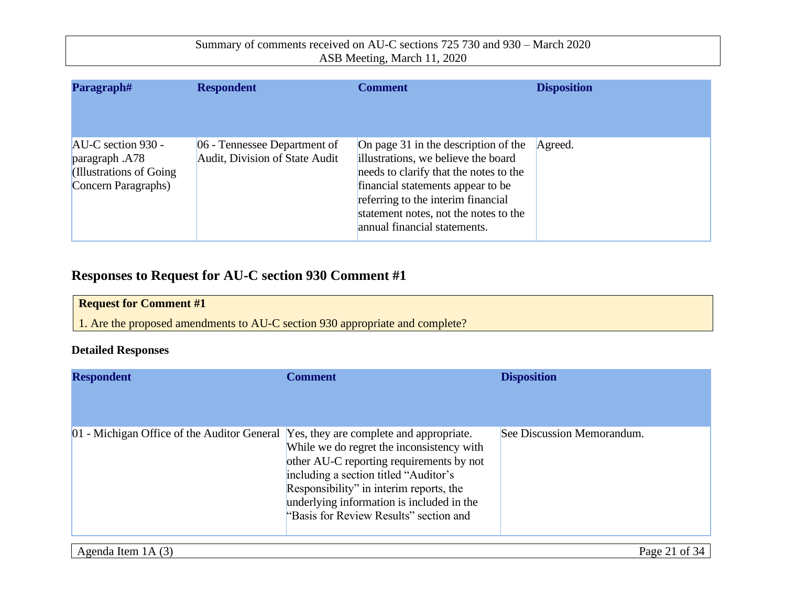| Paragraph#                                                                                | <b>Respondent</b>                                              | Comment                                                                                                                                                                                                                                                                   | <b>Disposition</b> |
|-------------------------------------------------------------------------------------------|----------------------------------------------------------------|---------------------------------------------------------------------------------------------------------------------------------------------------------------------------------------------------------------------------------------------------------------------------|--------------------|
| $AU-C$ section 930 -<br>paragraph .A78<br>(Illustrations of Going)<br>Concern Paragraphs) | 06 - Tennessee Department of<br>Audit, Division of State Audit | On page 31 in the description of the<br>illustrations, we believe the board<br>needs to clarify that the notes to the<br>financial statements appear to be<br>referring to the interim financial<br>statement notes, not the notes to the<br>annual financial statements. | Agreed.            |

## **Responses to Request for AU-C section 930 Comment #1**

| <b>Request for Comment #1</b>                                                |
|------------------------------------------------------------------------------|
| 1. Are the proposed amendments to AU-C section 930 appropriate and complete? |

#### **Detailed Responses**

| <b>Respondent</b>                                                                   | <b>Comment</b>                                                                                                                                                                                                                                                   | <b>Disposition</b>         |
|-------------------------------------------------------------------------------------|------------------------------------------------------------------------------------------------------------------------------------------------------------------------------------------------------------------------------------------------------------------|----------------------------|
| 01 - Michigan Office of the Auditor General Yes, they are complete and appropriate. | While we do regret the inconsistency with<br>other AU-C reporting requirements by not<br>including a section titled "Auditor's<br>Responsibility" in interim reports, the<br>underlying information is included in the<br>"Basis for Review Results" section and | See Discussion Memorandum. |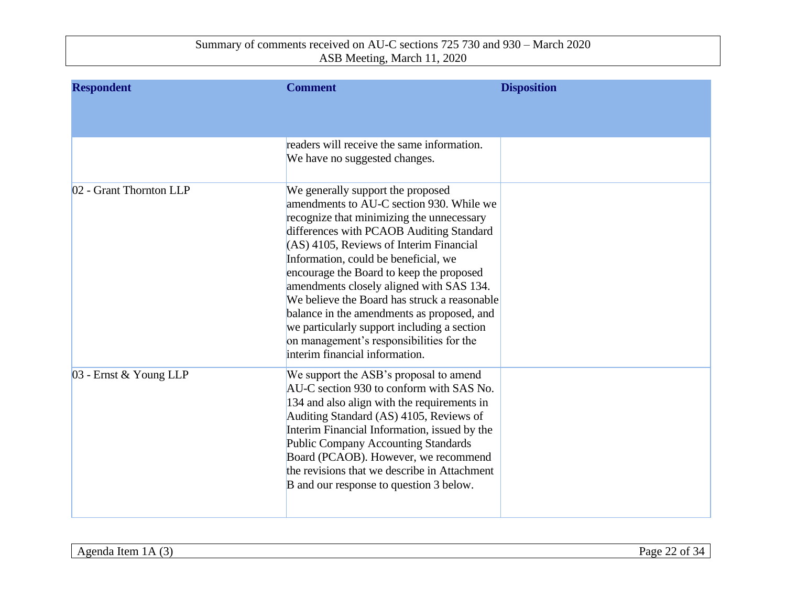| <b>Respondent</b>       | <b>Comment</b>                                                                                                                                                                                                                                                                                                                                                                                                                                                                                                                                                                  | <b>Disposition</b> |
|-------------------------|---------------------------------------------------------------------------------------------------------------------------------------------------------------------------------------------------------------------------------------------------------------------------------------------------------------------------------------------------------------------------------------------------------------------------------------------------------------------------------------------------------------------------------------------------------------------------------|--------------------|
|                         |                                                                                                                                                                                                                                                                                                                                                                                                                                                                                                                                                                                 |                    |
|                         | readers will receive the same information.<br>We have no suggested changes.                                                                                                                                                                                                                                                                                                                                                                                                                                                                                                     |                    |
| 02 - Grant Thornton LLP | We generally support the proposed<br>amendments to AU-C section 930. While we<br>recognize that minimizing the unnecessary<br>differences with PCAOB Auditing Standard<br>$ (AS)$ 4105, Reviews of Interim Financial<br>Information, could be beneficial, we<br>encourage the Board to keep the proposed<br>amendments closely aligned with SAS 134.<br>We believe the Board has struck a reasonable<br>balance in the amendments as proposed, and<br>we particularly support including a section<br>on management's responsibilities for the<br>interim financial information. |                    |
| 03 - Ernst & Young LLP  | We support the ASB's proposal to amend<br>AU-C section 930 to conform with SAS No.<br>134 and also align with the requirements in<br>Auditing Standard (AS) 4105, Reviews of<br>Interim Financial Information, issued by the<br><b>Public Company Accounting Standards</b><br>Board (PCAOB). However, we recommend<br>the revisions that we describe in Attachment<br>B and our response to question 3 below.                                                                                                                                                                   |                    |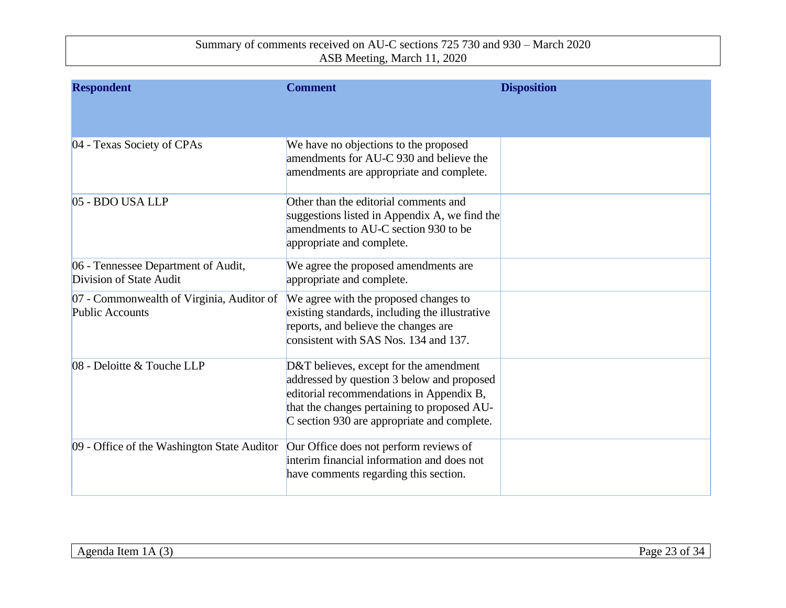| <b>Respondent</b>                                                   | <b>Comment</b>                                                                                                                                                                                                                 | <b>Disposition</b> |
|---------------------------------------------------------------------|--------------------------------------------------------------------------------------------------------------------------------------------------------------------------------------------------------------------------------|--------------------|
|                                                                     |                                                                                                                                                                                                                                |                    |
| 04 - Texas Society of CPAs                                          | We have no objections to the proposed<br>amendments for AU-C 930 and believe the<br>amendments are appropriate and complete.                                                                                                   |                    |
| 05 - BDO USA LLP                                                    | Other than the editorial comments and<br>suggestions listed in Appendix A, we find the<br>amendments to AU-C section 930 to be<br>appropriate and complete.                                                                    |                    |
| 06 - Tennessee Department of Audit,<br>Division of State Audit      | We agree the proposed amendments are<br>appropriate and complete.                                                                                                                                                              |                    |
| 07 - Commonwealth of Virginia, Auditor of<br><b>Public Accounts</b> | We agree with the proposed changes to<br>existing standards, including the illustrative<br>reports, and believe the changes are<br>consistent with SAS Nos. 134 and 137.                                                       |                    |
| 08 - Deloitte & Touche LLP                                          | D&T believes, except for the amendment<br>addressed by question 3 below and proposed<br>editorial recommendations in Appendix B,<br>that the changes pertaining to proposed AU-<br>C section 930 are appropriate and complete. |                    |
| 09 - Office of the Washington State Auditor                         | Our Office does not perform reviews of<br>interim financial information and does not<br>have comments regarding this section.                                                                                                  |                    |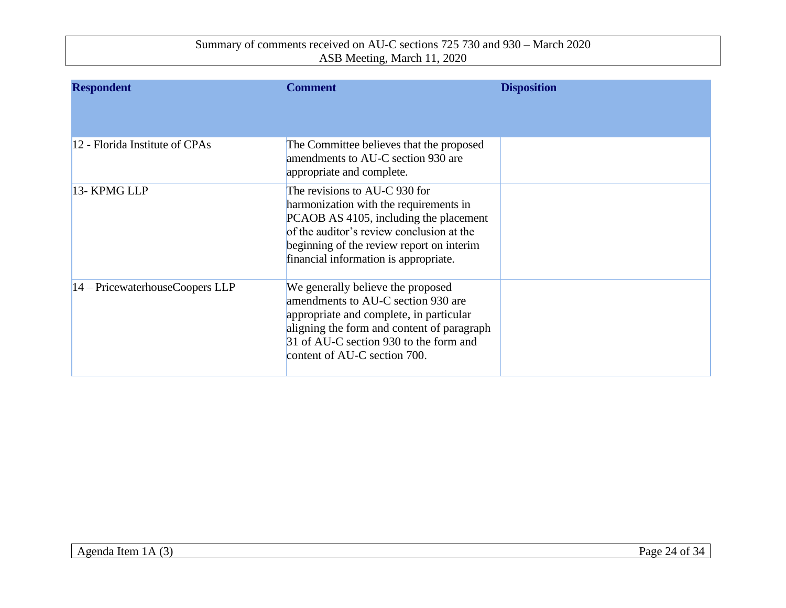| <b>Respondent</b>               | <b>Comment</b>                                                                                                                                                                                                                                       | <b>Disposition</b> |
|---------------------------------|------------------------------------------------------------------------------------------------------------------------------------------------------------------------------------------------------------------------------------------------------|--------------------|
| 12 - Florida Institute of CPAs  | The Committee believes that the proposed<br>amendments to AU-C section 930 are<br>appropriate and complete.                                                                                                                                          |                    |
| 13- KPMG LLP                    | The revisions to AU-C 930 for<br>harmonization with the requirements in<br>PCAOB AS 4105, including the placement<br>of the auditor's review conclusion at the<br>beginning of the review report on interim<br>financial information is appropriate. |                    |
| 14 – PricewaterhouseCoopers LLP | We generally believe the proposed<br>amendments to AU-C section 930 are<br>appropriate and complete, in particular<br>aligning the form and content of paragraph<br>31 of AU-C section 930 to the form and<br>content of AU-C section 700.           |                    |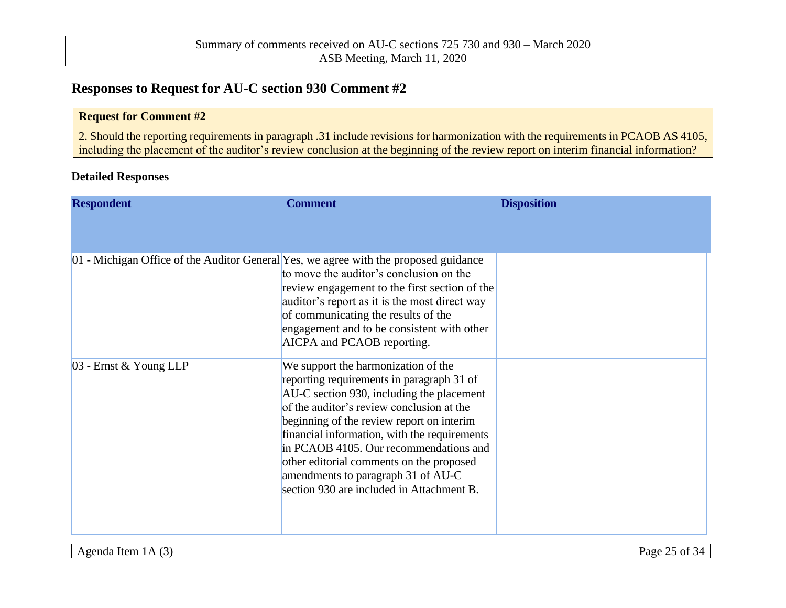### **Responses to Request for AU-C section 930 Comment #2**

#### **Request for Comment #2**

2. Should the reporting requirements in paragraph .31 include revisions for harmonization with the requirements in PCAOB AS 4105, including the placement of the auditor's review conclusion at the beginning of the review report on interim financial information?

#### **Detailed Responses**

| <b>Respondent</b>      | <b>Comment</b>                                                                                                                                                                                                                                                                                                                                                                                                                                   | <b>Disposition</b> |
|------------------------|--------------------------------------------------------------------------------------------------------------------------------------------------------------------------------------------------------------------------------------------------------------------------------------------------------------------------------------------------------------------------------------------------------------------------------------------------|--------------------|
|                        | 01 - Michigan Office of the Auditor General Yes, we agree with the proposed guidance<br>to move the auditor's conclusion on the<br>review engagement to the first section of the                                                                                                                                                                                                                                                                 |                    |
|                        | auditor's report as it is the most direct way<br>of communicating the results of the<br>engagement and to be consistent with other<br>AICPA and PCAOB reporting.                                                                                                                                                                                                                                                                                 |                    |
| 03 - Ernst & Young LLP | We support the harmonization of the<br>reporting requirements in paragraph 31 of<br>AU-C section 930, including the placement<br>of the auditor's review conclusion at the<br>beginning of the review report on interim<br>financial information, with the requirements<br>in PCAOB 4105. Our recommendations and<br>other editorial comments on the proposed<br>amendments to paragraph 31 of AU-C<br>section 930 are included in Attachment B. |                    |
|                        |                                                                                                                                                                                                                                                                                                                                                                                                                                                  |                    |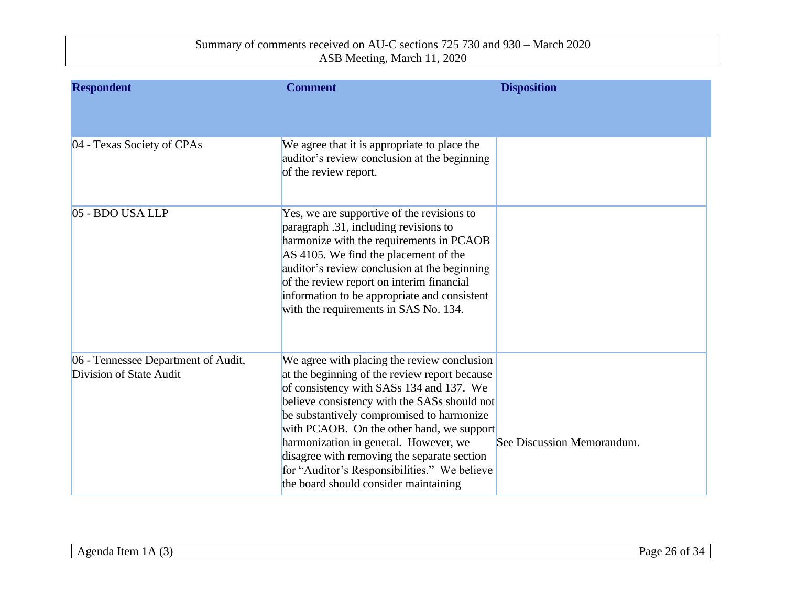| <b>Respondent</b>                                              | <b>Comment</b>                                                                                                                                                                                                                                                                                                                                                                                                                                                      | <b>Disposition</b>         |
|----------------------------------------------------------------|---------------------------------------------------------------------------------------------------------------------------------------------------------------------------------------------------------------------------------------------------------------------------------------------------------------------------------------------------------------------------------------------------------------------------------------------------------------------|----------------------------|
|                                                                |                                                                                                                                                                                                                                                                                                                                                                                                                                                                     |                            |
| 04 - Texas Society of CPAs                                     | We agree that it is appropriate to place the<br>auditor's review conclusion at the beginning<br>of the review report.                                                                                                                                                                                                                                                                                                                                               |                            |
| 05 - BDO USA LLP                                               | Yes, we are supportive of the revisions to<br>paragraph .31, including revisions to<br>harmonize with the requirements in PCAOB<br>AS 4105. We find the placement of the<br>auditor's review conclusion at the beginning<br>of the review report on interim financial<br>information to be appropriate and consistent<br>with the requirements in SAS No. 134.                                                                                                      |                            |
| 06 - Tennessee Department of Audit,<br>Division of State Audit | We agree with placing the review conclusion<br>at the beginning of the review report because<br>of consistency with SASs 134 and 137. We<br>believe consistency with the SASs should not<br>be substantively compromised to harmonize<br>with PCAOB. On the other hand, we support<br>harmonization in general. However, we<br>disagree with removing the separate section<br>for "Auditor's Responsibilities." We believe<br>the board should consider maintaining | See Discussion Memorandum. |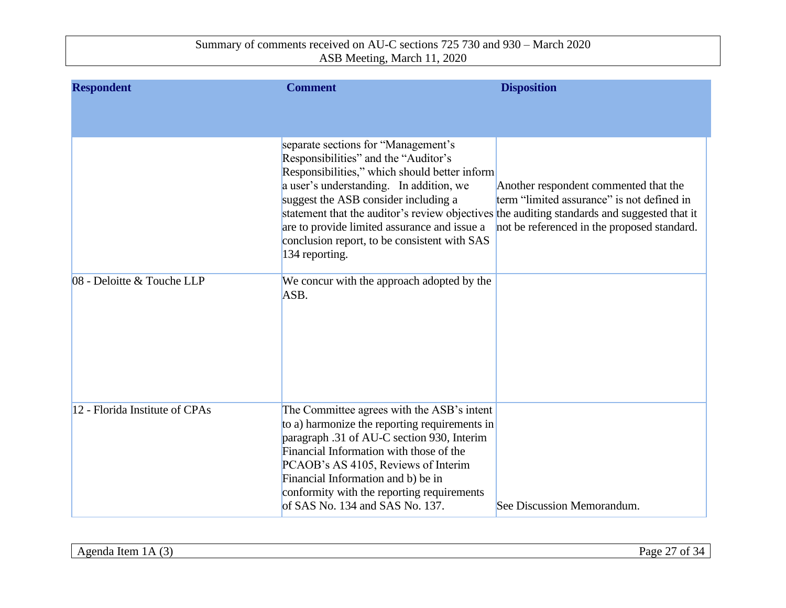| <b>Respondent</b>              | <b>Comment</b>                                                                                                                                                                                                                                                                                                                                                                                                                   | <b>Disposition</b>                                                                                                                 |
|--------------------------------|----------------------------------------------------------------------------------------------------------------------------------------------------------------------------------------------------------------------------------------------------------------------------------------------------------------------------------------------------------------------------------------------------------------------------------|------------------------------------------------------------------------------------------------------------------------------------|
|                                |                                                                                                                                                                                                                                                                                                                                                                                                                                  |                                                                                                                                    |
|                                | separate sections for "Management's<br>Responsibilities" and the "Auditor's<br>Responsibilities," which should better inform<br>a user's understanding. In addition, we<br>suggest the ASB consider including a<br>statement that the auditor's review objectives the auditing standards and suggested that it<br>are to provide limited assurance and issue a<br>conclusion report, to be consistent with SAS<br>134 reporting. | Another respondent commented that the<br>term "limited assurance" is not defined in<br>not be referenced in the proposed standard. |
| 08 - Deloitte & Touche LLP     | We concur with the approach adopted by the<br>ASB.                                                                                                                                                                                                                                                                                                                                                                               |                                                                                                                                    |
| 12 - Florida Institute of CPAs | The Committee agrees with the ASB's intent<br>to a) harmonize the reporting requirements in<br>paragraph .31 of AU-C section 930, Interim<br>Financial Information with those of the<br>PCAOB's AS 4105, Reviews of Interim<br>Financial Information and b) be in<br>conformity with the reporting requirements<br>of SAS No. 134 and SAS No. 137.                                                                               | See Discussion Memorandum.                                                                                                         |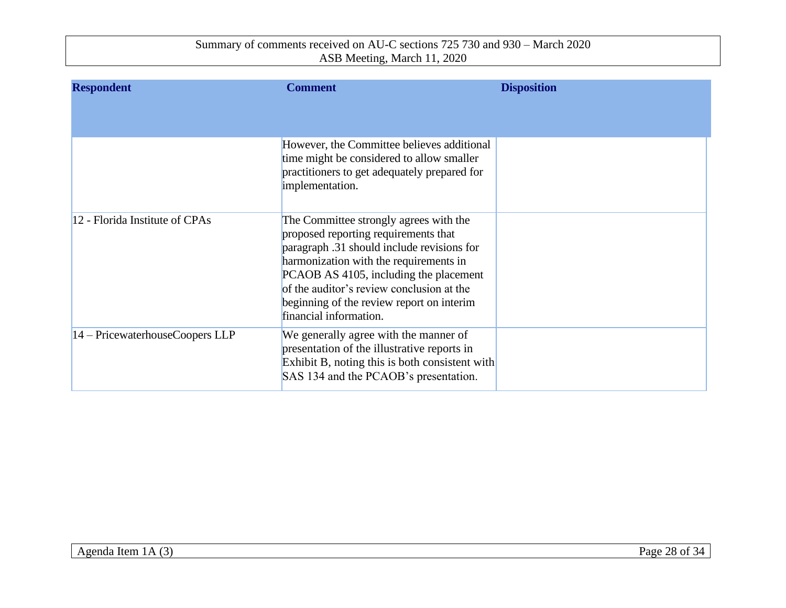| <b>Respondent</b>               | <b>Comment</b>                                                                                                                                                                                                                                                                                                                       | <b>Disposition</b> |
|---------------------------------|--------------------------------------------------------------------------------------------------------------------------------------------------------------------------------------------------------------------------------------------------------------------------------------------------------------------------------------|--------------------|
|                                 | However, the Committee believes additional<br>time might be considered to allow smaller<br>practitioners to get adequately prepared for<br>implementation.                                                                                                                                                                           |                    |
| 12 - Florida Institute of CPAs  | The Committee strongly agrees with the<br>proposed reporting requirements that<br>paragraph .31 should include revisions for<br>harmonization with the requirements in<br>PCAOB AS 4105, including the placement<br>of the auditor's review conclusion at the<br>beginning of the review report on interim<br>financial information. |                    |
| 14 - PricewaterhouseCoopers LLP | We generally agree with the manner of<br>presentation of the illustrative reports in<br>Exhibit B, noting this is both consistent with<br>SAS 134 and the PCAOB's presentation.                                                                                                                                                      |                    |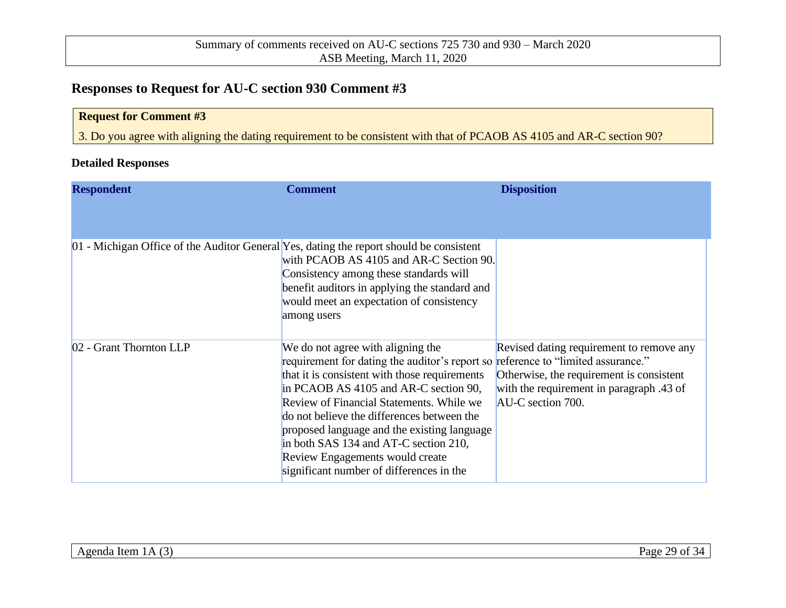## **Responses to Request for AU-C section 930 Comment #3**

| <b>Request for Comment #3</b>                                                                                         |  |
|-----------------------------------------------------------------------------------------------------------------------|--|
| 3. Do you agree with aligning the dating requirement to be consistent with that of PCAOB AS 4105 and AR-C section 90? |  |

#### **Detailed Responses**

| <b>Respondent</b>                                                                       | <b>Comment</b>                                                                                                                                                                                                                                                                                                                                                                                                                                                                   | <b>Disposition</b>                                                                                                                                    |
|-----------------------------------------------------------------------------------------|----------------------------------------------------------------------------------------------------------------------------------------------------------------------------------------------------------------------------------------------------------------------------------------------------------------------------------------------------------------------------------------------------------------------------------------------------------------------------------|-------------------------------------------------------------------------------------------------------------------------------------------------------|
|                                                                                         |                                                                                                                                                                                                                                                                                                                                                                                                                                                                                  |                                                                                                                                                       |
| 01 - Michigan Office of the Auditor General Yes, dating the report should be consistent | with PCAOB AS 4105 and AR-C Section 90.<br>Consistency among these standards will<br>benefit auditors in applying the standard and<br>would meet an expectation of consistency<br>among users                                                                                                                                                                                                                                                                                    |                                                                                                                                                       |
| 02 - Grant Thornton LLP                                                                 | We do not agree with aligning the<br>requirement for dating the auditor's report so reference to "limited assurance."<br>that it is consistent with those requirements<br>in PCAOB AS 4105 and AR-C section 90,<br>Review of Financial Statements. While we<br>do not believe the differences between the<br>proposed language and the existing language<br>in both SAS 134 and AT-C section 210,<br>Review Engagements would create<br>significant number of differences in the | Revised dating requirement to remove any<br>Otherwise, the requirement is consistent<br>with the requirement in paragraph .43 of<br>AU-C section 700. |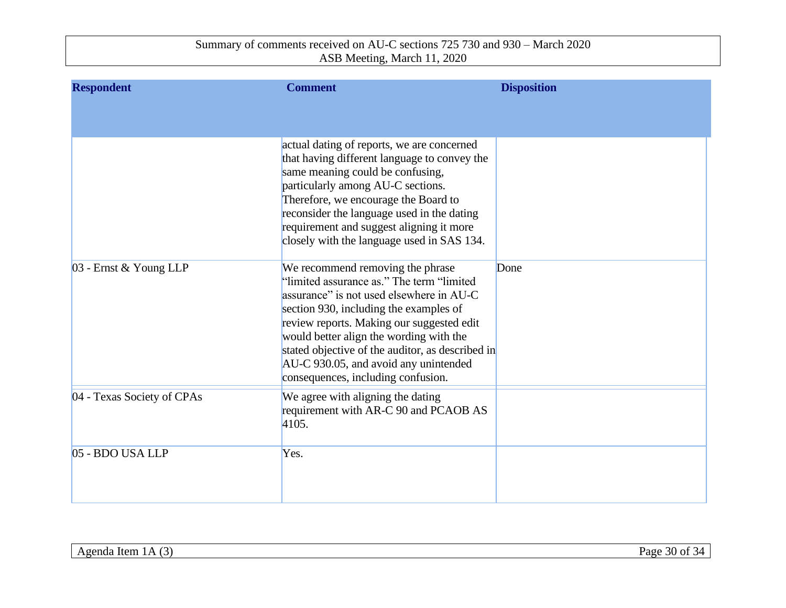| <b>Respondent</b>          | <b>Comment</b>                                                                                                                                                                                                                                                                                                                                                                                  | <b>Disposition</b> |
|----------------------------|-------------------------------------------------------------------------------------------------------------------------------------------------------------------------------------------------------------------------------------------------------------------------------------------------------------------------------------------------------------------------------------------------|--------------------|
|                            |                                                                                                                                                                                                                                                                                                                                                                                                 |                    |
|                            | actual dating of reports, we are concerned<br>that having different language to convey the<br>same meaning could be confusing,<br>particularly among AU-C sections.<br>Therefore, we encourage the Board to<br>reconsider the language used in the dating<br>requirement and suggest aligning it more<br>closely with the language used in SAS 134.                                             |                    |
| 03 - Ernst & Young LLP     | We recommend removing the phrase<br>"limited assurance as." The term "limited"<br>assurance" is not used elsewhere in AU-C<br>section 930, including the examples of<br>review reports. Making our suggested edit<br>would better align the wording with the<br>stated objective of the auditor, as described in<br>AU-C 930.05, and avoid any unintended<br>consequences, including confusion. | Done               |
| 04 - Texas Society of CPAs | We agree with aligning the dating<br>requirement with AR-C 90 and PCAOB AS<br>4105.                                                                                                                                                                                                                                                                                                             |                    |
| 05 - BDO USA LLP           | Yes.                                                                                                                                                                                                                                                                                                                                                                                            |                    |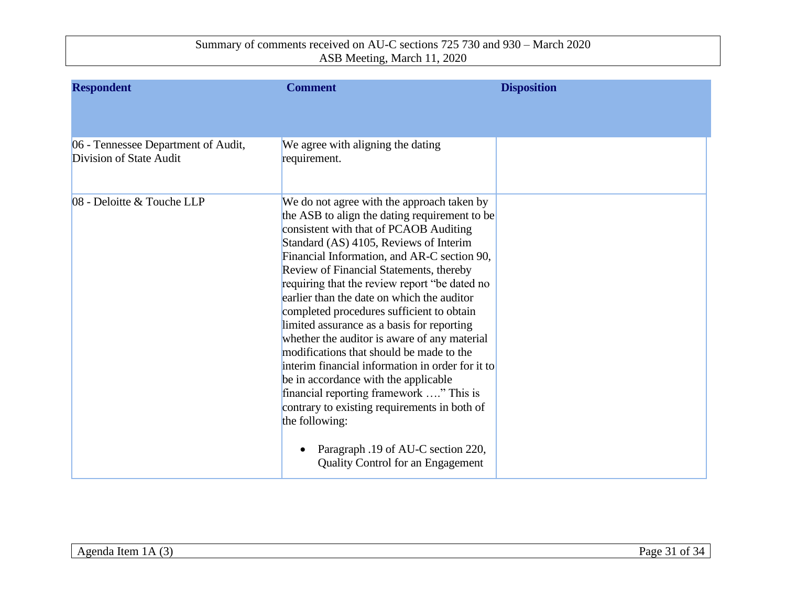| <b>Respondent</b>                                              | <b>Comment</b>                                                                                                                                                                                                                                                                                                                                                                                                                                                                                                                                                                                                                                                                                                                                                           | <b>Disposition</b> |
|----------------------------------------------------------------|--------------------------------------------------------------------------------------------------------------------------------------------------------------------------------------------------------------------------------------------------------------------------------------------------------------------------------------------------------------------------------------------------------------------------------------------------------------------------------------------------------------------------------------------------------------------------------------------------------------------------------------------------------------------------------------------------------------------------------------------------------------------------|--------------------|
|                                                                |                                                                                                                                                                                                                                                                                                                                                                                                                                                                                                                                                                                                                                                                                                                                                                          |                    |
| 06 - Tennessee Department of Audit,<br>Division of State Audit | We agree with aligning the dating<br>requirement.                                                                                                                                                                                                                                                                                                                                                                                                                                                                                                                                                                                                                                                                                                                        |                    |
| 08 - Deloitte & Touche LLP                                     | We do not agree with the approach taken by<br>the ASB to align the dating requirement to be<br>consistent with that of PCAOB Auditing<br>Standard (AS) 4105, Reviews of Interim<br>Financial Information, and AR-C section 90,<br>Review of Financial Statements, thereby<br>requiring that the review report "be dated no<br>earlier than the date on which the auditor<br>completed procedures sufficient to obtain<br>limited assurance as a basis for reporting<br>whether the auditor is aware of any material<br>modifications that should be made to the<br>interim financial information in order for it to<br>be in accordance with the applicable<br>financial reporting framework " This is<br>contrary to existing requirements in both of<br>the following: |                    |
|                                                                | Paragraph .19 of AU-C section 220,<br><b>Quality Control for an Engagement</b>                                                                                                                                                                                                                                                                                                                                                                                                                                                                                                                                                                                                                                                                                           |                    |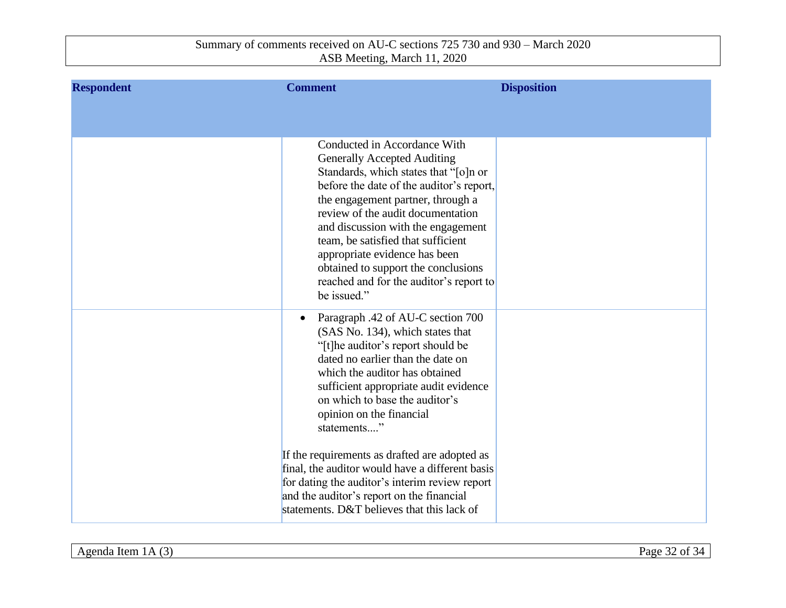| <b>Respondent</b> | <b>Comment</b>                                                                                                                                                                                                                                                                                                                                                                                                                                                                                                                                                        | <b>Disposition</b> |
|-------------------|-----------------------------------------------------------------------------------------------------------------------------------------------------------------------------------------------------------------------------------------------------------------------------------------------------------------------------------------------------------------------------------------------------------------------------------------------------------------------------------------------------------------------------------------------------------------------|--------------------|
|                   |                                                                                                                                                                                                                                                                                                                                                                                                                                                                                                                                                                       |                    |
|                   | Conducted in Accordance With<br><b>Generally Accepted Auditing</b><br>Standards, which states that "[o]n or<br>before the date of the auditor's report,<br>the engagement partner, through a<br>review of the audit documentation<br>and discussion with the engagement<br>team, be satisfied that sufficient<br>appropriate evidence has been<br>obtained to support the conclusions<br>reached and for the auditor's report to<br>be issued."                                                                                                                       |                    |
|                   | Paragraph .42 of AU-C section 700<br>$\bullet$<br>(SAS No. 134), which states that<br>"[t]he auditor's report should be<br>dated no earlier than the date on<br>which the auditor has obtained<br>sufficient appropriate audit evidence<br>on which to base the auditor's<br>opinion on the financial<br>statements"<br>If the requirements as drafted are adopted as<br>final, the auditor would have a different basis<br>for dating the auditor's interim review report<br>and the auditor's report on the financial<br>statements. D&T believes that this lack of |                    |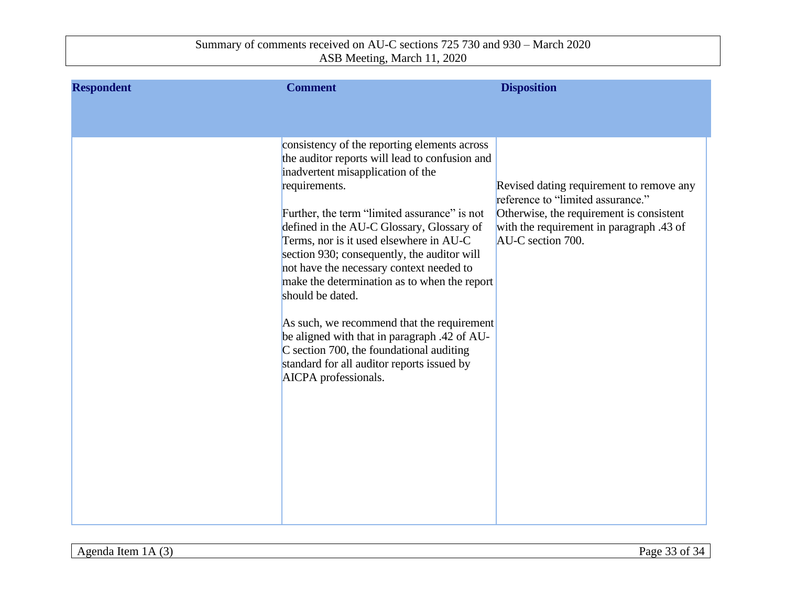| <b>Respondent</b> | <b>Comment</b>                                                                                                                                                                                                                                                                                                                                                                                                                                                                                                                                                                                                                                                              | <b>Disposition</b>                                                                                                                                                                         |
|-------------------|-----------------------------------------------------------------------------------------------------------------------------------------------------------------------------------------------------------------------------------------------------------------------------------------------------------------------------------------------------------------------------------------------------------------------------------------------------------------------------------------------------------------------------------------------------------------------------------------------------------------------------------------------------------------------------|--------------------------------------------------------------------------------------------------------------------------------------------------------------------------------------------|
|                   |                                                                                                                                                                                                                                                                                                                                                                                                                                                                                                                                                                                                                                                                             |                                                                                                                                                                                            |
|                   | consistency of the reporting elements across<br>the auditor reports will lead to confusion and<br>inadvertent misapplication of the<br>requirements.<br>Further, the term "limited assurance" is not<br>defined in the AU-C Glossary, Glossary of<br>Terms, nor is it used elsewhere in AU-C<br>section 930; consequently, the auditor will<br>not have the necessary context needed to<br>make the determination as to when the report<br>should be dated.<br>As such, we recommend that the requirement<br>be aligned with that in paragraph .42 of AU-<br>C section 700, the foundational auditing<br>standard for all auditor reports issued by<br>AICPA professionals. | Revised dating requirement to remove any<br>reference to "limited assurance."<br>Otherwise, the requirement is consistent<br>with the requirement in paragraph .43 of<br>AU-C section 700. |